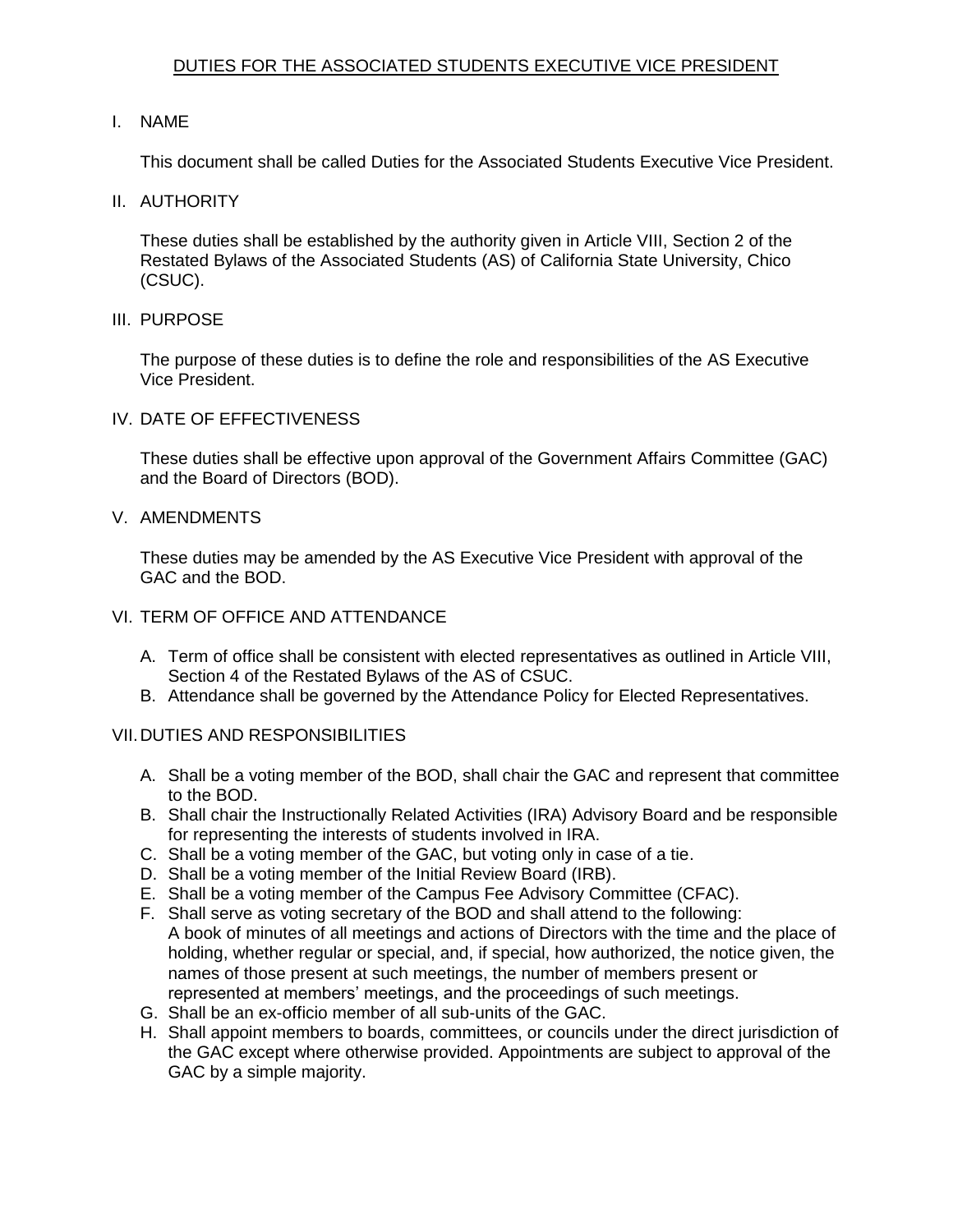## DUTIES FOR THE ASSOCIATED STUDENTS EXECUTIVE VICE PRESIDENT

## I. NAME

This document shall be called Duties for the Associated Students Executive Vice President.

II. AUTHORITY

 These duties shall be established by the authority given in Article VIII, Section 2 of the Restated Bylaws of the Associated Students (AS) of California State University, Chico (CSUC).

III. PURPOSE

 The purpose of these duties is to define the role and responsibilities of the AS Executive Vice President.

IV. DATE OF EFFECTIVENESS

 These duties shall be effective upon approval of the Government Affairs Committee (GAC) and the Board of Directors (BOD).

V. AMENDMENTS

 These duties may be amended by the AS Executive Vice President with approval of the GAC and the BOD.

- VI. TERM OF OFFICE AND ATTENDANCE
	- A. Term of office shall be consistent with elected representatives as outlined in Article VIII, Section 4 of the Restated Bylaws of the AS of CSUC.
	- B. Attendance shall be governed by the Attendance Policy for Elected Representatives.

## VII.DUTIES AND RESPONSIBILITIES

- A. Shall be a voting member of the BOD, shall chair the GAC and represent that committee to the BOD.
- B. Shall chair the Instructionally Related Activities (IRA) Advisory Board and be responsible for representing the interests of students involved in IRA.
- C. Shall be a voting member of the GAC, but voting only in case of a tie.
- D. Shall be a voting member of the Initial Review Board (IRB).
- E. Shall be a voting member of the Campus Fee Advisory Committee (CFAC).
- F. Shall serve as voting secretary of the BOD and shall attend to the following: A book of minutes of all meetings and actions of Directors with the time and the place of holding, whether regular or special, and, if special, how authorized, the notice given, the names of those present at such meetings, the number of members present or represented at members' meetings, and the proceedings of such meetings.
- G. Shall be an ex-officio member of all sub-units of the GAC.
- H. Shall appoint members to boards, committees, or councils under the direct jurisdiction of the GAC except where otherwise provided. Appointments are subject to approval of the GAC by a simple majority.